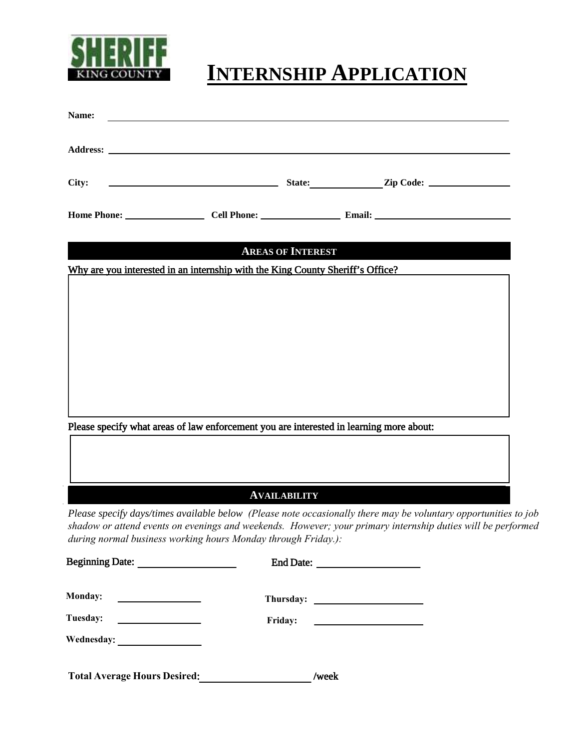

## **INTERNSHIP APPLICATION**

| Name:                                                                           |                                                                                                                                                                                                                                                                                                 |                          |  |  |
|---------------------------------------------------------------------------------|-------------------------------------------------------------------------------------------------------------------------------------------------------------------------------------------------------------------------------------------------------------------------------------------------|--------------------------|--|--|
|                                                                                 |                                                                                                                                                                                                                                                                                                 |                          |  |  |
| City:                                                                           | Example 21 State: Example 21p Code:                                                                                                                                                                                                                                                             |                          |  |  |
|                                                                                 |                                                                                                                                                                                                                                                                                                 |                          |  |  |
|                                                                                 |                                                                                                                                                                                                                                                                                                 | <b>AREAS OF INTEREST</b> |  |  |
|                                                                                 | Why are you interested in an internship with the King County Sheriff's Office?                                                                                                                                                                                                                  |                          |  |  |
|                                                                                 |                                                                                                                                                                                                                                                                                                 |                          |  |  |
|                                                                                 |                                                                                                                                                                                                                                                                                                 |                          |  |  |
|                                                                                 |                                                                                                                                                                                                                                                                                                 |                          |  |  |
|                                                                                 |                                                                                                                                                                                                                                                                                                 |                          |  |  |
|                                                                                 |                                                                                                                                                                                                                                                                                                 |                          |  |  |
|                                                                                 | Please specify what areas of law enforcement you are interested in learning more about:                                                                                                                                                                                                         |                          |  |  |
|                                                                                 |                                                                                                                                                                                                                                                                                                 |                          |  |  |
|                                                                                 |                                                                                                                                                                                                                                                                                                 |                          |  |  |
|                                                                                 |                                                                                                                                                                                                                                                                                                 | <b>AVAILABILITY</b>      |  |  |
|                                                                                 | Please specify days/times available below (Please note occasionally there may be voluntary opportunities to job<br>shadow or attend events on evenings and weekends. However; your primary internship duties will be performed<br>during normal business working hours Monday through Friday.): |                          |  |  |
|                                                                                 |                                                                                                                                                                                                                                                                                                 |                          |  |  |
| <b>Monday:</b>                                                                  |                                                                                                                                                                                                                                                                                                 |                          |  |  |
| Tuesday:<br>$\overline{\phantom{a}}$ . The contract of $\overline{\phantom{a}}$ |                                                                                                                                                                                                                                                                                                 | Friday:                  |  |  |
|                                                                                 |                                                                                                                                                                                                                                                                                                 |                          |  |  |

Total Average Hours Desired: //week